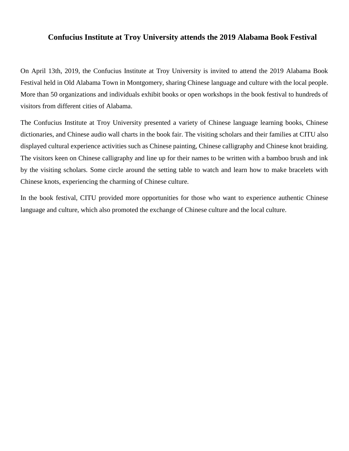## **Confucius Institute at Troy University attends the 2019 Alabama Book Festival**

On April 13th, 2019, the Confucius Institute at Troy University is invited to attend the 2019 Alabama Book Festival held in Old Alabama Town in Montgomery, sharing Chinese language and culture with the local people. More than 50 organizations and individuals exhibit books or open workshops in the book festival to hundreds of visitors from different cities of Alabama.

The Confucius Institute at Troy University presented a variety of Chinese language learning books, Chinese dictionaries, and Chinese audio wall charts in the book fair. The visiting scholars and their families at CITU also displayed cultural experience activities such as Chinese painting, Chinese calligraphy and Chinese knot braiding. The visitors keen on Chinese calligraphy and line up for their names to be written with a bamboo brush and ink by the visiting scholars. Some circle around the setting table to watch and learn how to make bracelets with Chinese knots, experiencing the charming of Chinese culture.

In the book festival, CITU provided more opportunities for those who want to experience authentic Chinese language and culture, which also promoted the exchange of Chinese culture and the local culture.